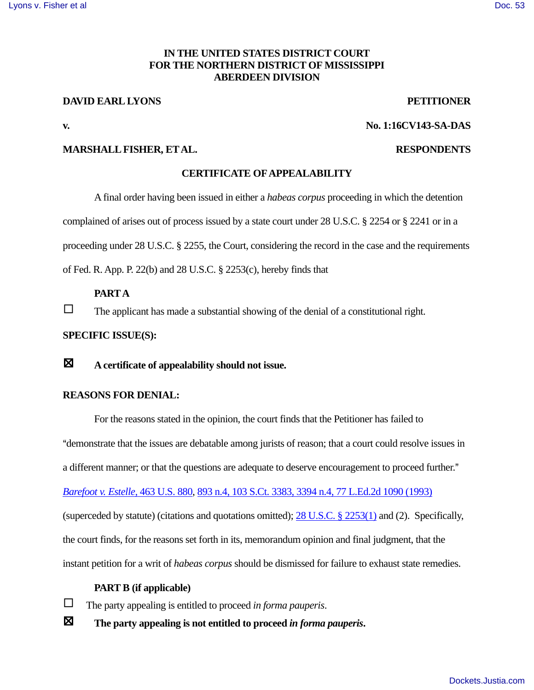## **IN THE UNITED STATES DISTRICT COURT FOR THE NORTHERN DISTRICT OF MISSISSIPPI ABERDEEN DIVISION**

#### **DAVID EARL LYONS** PETITIONER

**v. No. 1:16CV143-SA-DAS** 

### **MARSHALL FISHER, ET AL. RESPONDENTS**

#### **CERTIFICATE OF APPEALABILITY**

A final order having been issued in either a *habeas corpus* proceeding in which the detention complained of arises out of process issued by a state court under 28 U.S.C. § 2254 or § 2241 or in a proceeding under 28 U.S.C. § 2255, the Court, considering the record in the case and the requirements

of Fed. R. App. P. 22(b) and 28 U.S.C. § 2253(c), hereby finds that

## **PARTA**

 $\Box$  The applicant has made a substantial showing of the denial of a constitutional right.

## **SPECIFIC ISSUE(S):**

: **A certificate of appealability should not issue.** 

#### **REASONS FOR DENIAL:**

For the reasons stated in the opinion, the court finds that the Petitioner has failed to Ademonstrate that the issues are debatable among jurists of reason; that a court could resolve issues in a different manner; or that the questions are adequate to deserve encouragement to proceed further." *Barefoot v. Estelle*, 463 U.S. 880, 893 n.4, 103 S.Ct. 3383, 3394 n.4, 77 L.Ed.2d 1090 (1993) (superceded by statute) (citations and quotations omitted); 28 U.S.C. § 2253(1) and (2). Specifically, the court finds, for the reasons set forth in its, memorandum opinion and final judgment, that the instant petition for a writ of *habeas corpus* should be dismissed for failure to exhaust state remedies.

## **PART B (if applicable)**

 $\Box$  The party appealing is entitled to proceed *in forma pauperis*.

: **The party appealing is not entitled to proceed** *in forma pauperis***.**